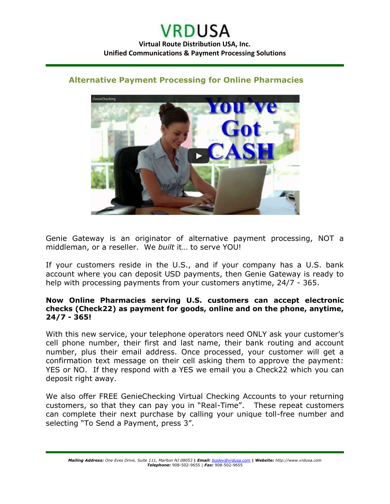

## **Alternative Payment Processing for Online Pharmacies**

Genie Gateway is an originator of alternative payment processing, NOT a middleman, or a reseller. We *built* it… to serve YOU!

If your customers reside in the U.S., and if your company has a U.S. bank account where you can deposit USD payments, then Genie Gateway is ready to help with processing payments from your customers anytime, 24/7 - 365.

## **Now Online Pharmacies serving U.S. customers can accept electronic checks (Check22) as payment for goods, online and on the phone, anytime, 24/7 - 365!**

With this new service, your telephone operators need ONLY ask your customer's cell phone number, their first and last name, their bank routing and account number, plus their email address. Once processed, your customer will get a confirmation text message on their cell asking them to approve the payment: YES or NO. If they respond with a YES we email you a Check22 which you can deposit right away.

We also offer FREE GenieChecking Virtual Checking Accounts to your returning customers, so that they can pay you in "Real-Time". These repeat customers can complete their next purchase by calling your unique toll-free number and selecting "To Send a Payment, press 3".

*Mailing Address: One Eves Drive, Suite 111, Marlton NJ 08053* **|** *Email: [bizdev@vrdusa.com](mailto:bizdev@vrdusa.com)* **|** *Website: http://www.vrdusa.com Telephone:* 908-502-9655 | *Fax:* 908-502-9655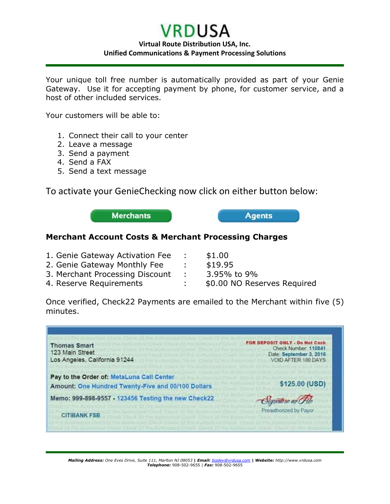## **VRDUSA Virtual Route Distribution USA, Inc. Unified Communications & Payment Processing Solutions**

Your unique toll free number is automatically provided as part of your Genie Gateway. Use it for accepting payment by phone, for customer service, and a host of other included services.

Your customers will be able to:

- 1. Connect their call to your center
- 2. Leave a message
- 3. Send a payment
- 4. Send a FAX
- 5. Send a text message

To activate your GenieChecking now click on either button below:

**Merchants** 

**Agents** 

## **Merchant Account Costs & Merchant Processing Charges**

| 1. Genie Gateway Activation Fee | $\mathcal{L}$   | \$1.00                      |
|---------------------------------|-----------------|-----------------------------|
| 2. Genie Gateway Monthly Fee    |                 | \$19.95                     |
| 3. Merchant Processing Discount | <b>Contract</b> | 3.95% to 9%                 |
| 4. Reserve Requirements         |                 | \$0.00 NO Reserves Required |

Once verified, Check22 Payments are emailed to the Merchant within five (5) minutes.